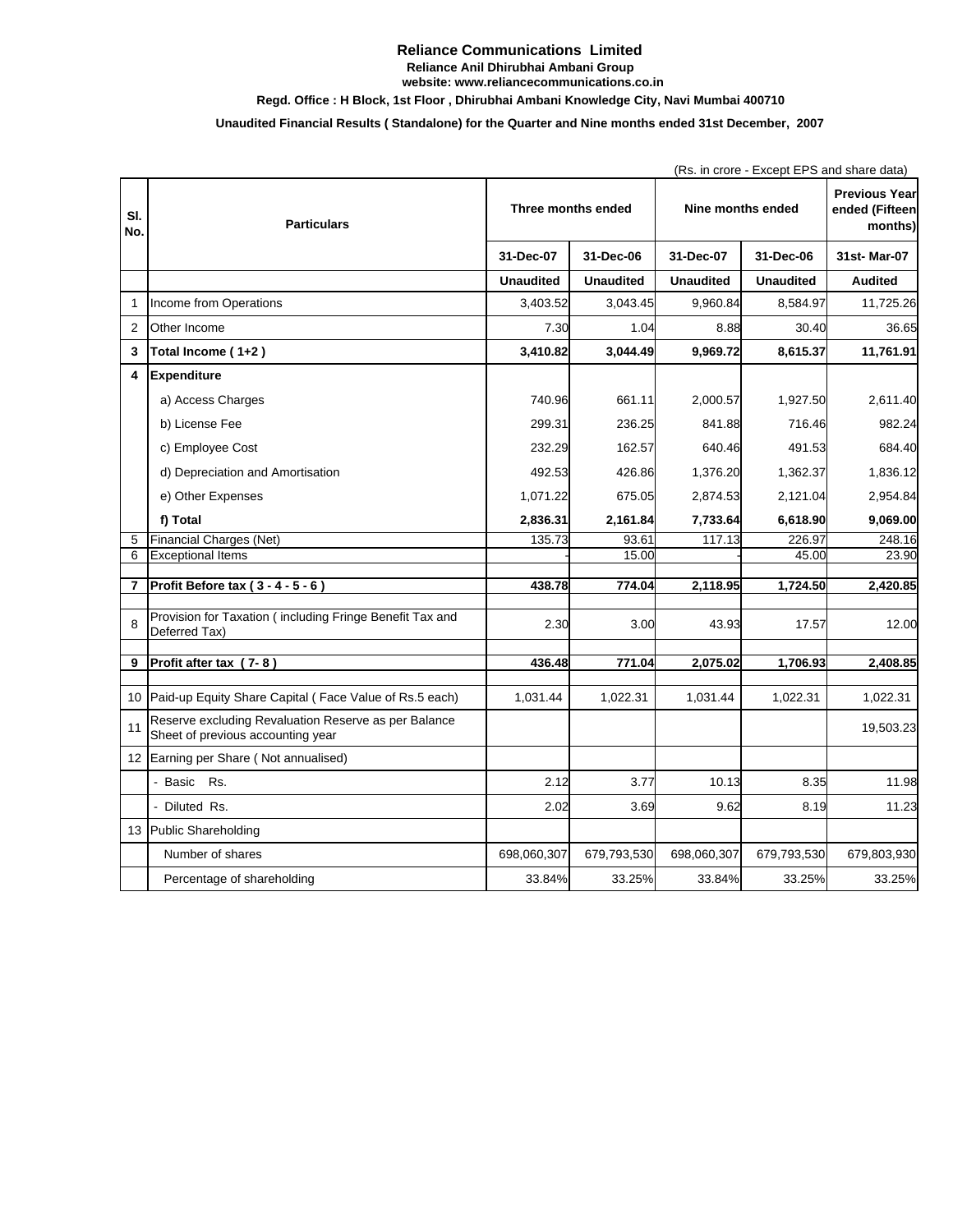### **Reliance Communications Limited Reliance Anil Dhirubhai Ambani Group website: www.reliancecommunications.co.in**

# **Regd. Office : H Block, 1st Floor , Dhirubhai Ambani Knowledge City, Navi Mumbai 400710**

# **Unaudited Financial Results ( Standalone) for the Quarter and Nine months ended 31st December, 2007**

|                         |                                                                                           |                    |                  |                   | (Rs. in crore - Except EPS and share data) |                                                   |  |
|-------------------------|-------------------------------------------------------------------------------------------|--------------------|------------------|-------------------|--------------------------------------------|---------------------------------------------------|--|
| SI.<br>No.              | <b>Particulars</b>                                                                        | Three months ended |                  | Nine months ended |                                            | <b>Previous Year</b><br>ended (Fifteen<br>months) |  |
|                         |                                                                                           | 31-Dec-07          | 31-Dec-06        | 31-Dec-07         | 31-Dec-06                                  | 31st-Mar-07                                       |  |
|                         |                                                                                           | <b>Unaudited</b>   | <b>Unaudited</b> | <b>Unaudited</b>  | <b>Unaudited</b>                           | <b>Audited</b>                                    |  |
| $\mathbf{1}$            | Income from Operations                                                                    | 3.403.52           | 3.043.45         | 9.960.84          | 8.584.97                                   | 11,725.26                                         |  |
| $\overline{2}$          | Other Income                                                                              | 7.30               | 1.04             | 8.88              | 30.40                                      | 36.65                                             |  |
| 3                       | Total Income (1+2)                                                                        | 3,410.82           | 3,044.49         | 9,969.72          | 8,615.37                                   | 11,761.91                                         |  |
| $\overline{\mathbf{4}}$ | <b>Expenditure</b>                                                                        |                    |                  |                   |                                            |                                                   |  |
|                         | a) Access Charges                                                                         | 740.96             | 661.11           | 2,000.57          | 1,927.50                                   | 2,611.40                                          |  |
|                         | b) License Fee                                                                            | 299.31             | 236.25           | 841.88            | 716.46                                     | 982.24                                            |  |
|                         | c) Employee Cost                                                                          | 232.29             | 162.57           | 640.46            | 491.53                                     | 684.40                                            |  |
|                         | d) Depreciation and Amortisation                                                          | 492.53             | 426.86           | 1,376.20          | 1,362.37                                   | 1,836.12                                          |  |
|                         | e) Other Expenses                                                                         | 1,071.22           | 675.05           | 2,874.53          | 2,121.04                                   | 2,954.84                                          |  |
|                         | f) Total                                                                                  | 2,836.31           | 2,161.84         | 7,733.64          | 6,618.90                                   | 9,069.00                                          |  |
| 5                       | <b>Financial Charges (Net)</b>                                                            | 135.73             | 93.61            | 117.13            | 226.97                                     | 248.16                                            |  |
| 6                       | <b>Exceptional Items</b>                                                                  |                    | 15.00            |                   | 45.00                                      | 23.90                                             |  |
|                         |                                                                                           |                    |                  |                   |                                            |                                                   |  |
| $\overline{7}$          | Profit Before tax (3 - 4 - 5 - 6)                                                         | 438.78             | 774.04           | 2,118.95          | 1,724.50                                   | 2,420.85                                          |  |
| 8                       | Provision for Taxation (including Fringe Benefit Tax and<br>Deferred Tax)                 | 2.30               | 3.00             | 43.93             | 17.57                                      | 12.00                                             |  |
| 9                       | Profit after tax (7-8)                                                                    | 436.48             | 771.04           | 2,075.02          | 1,706.93                                   | 2,408.85                                          |  |
|                         |                                                                                           |                    |                  |                   |                                            |                                                   |  |
| 10                      | Paid-up Equity Share Capital (Face Value of Rs.5 each)                                    | 1,031.44           | 1,022.31         | 1,031.44          | 1,022.31                                   | 1,022.31                                          |  |
| 11                      | Reserve excluding Revaluation Reserve as per Balance<br>Sheet of previous accounting year |                    |                  |                   |                                            | 19,503.23                                         |  |
| 12                      | Earning per Share (Not annualised)                                                        |                    |                  |                   |                                            |                                                   |  |
|                         | - Basic<br>Rs.                                                                            | 2.12               | 3.77             | 10.13             | 8.35                                       | 11.98                                             |  |
|                         | - Diluted Rs.                                                                             | 2.02               | 3.69             | 9.62              | 8.19                                       | 11.23                                             |  |
| 13                      | Public Shareholding                                                                       |                    |                  |                   |                                            |                                                   |  |
|                         | Number of shares                                                                          | 698,060,307        | 679,793,530      | 698,060,307       | 679,793,530                                | 679,803,930                                       |  |
|                         | Percentage of shareholding                                                                | 33.84%             | 33.25%           | 33.84%            | 33.25%                                     | 33.25%                                            |  |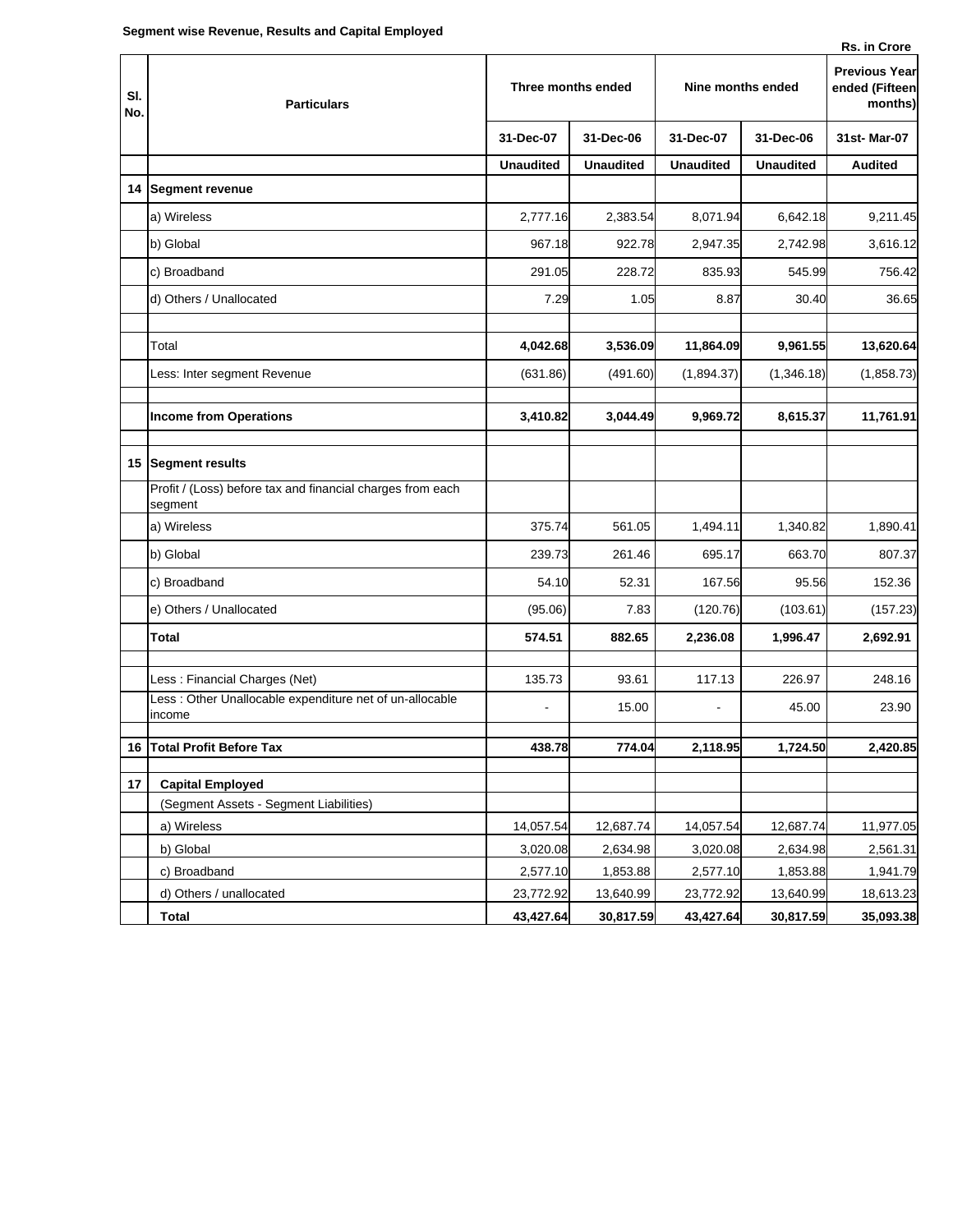|  | Rs. in Crore |
|--|--------------|
|  |              |

| SI.<br>No. | <b>Particulars</b>                                                    | Three months ended |                  | Nine months ended |                  | <b>Previous Year</b><br>ended (Fifteen<br>months) |
|------------|-----------------------------------------------------------------------|--------------------|------------------|-------------------|------------------|---------------------------------------------------|
|            |                                                                       | 31-Dec-07          | 31-Dec-06        | 31-Dec-07         | 31-Dec-06        | 31st-Mar-07                                       |
|            |                                                                       | <b>Unaudited</b>   | <b>Unaudited</b> | <b>Unaudited</b>  | <b>Unaudited</b> | <b>Audited</b>                                    |
| 14         | <b>Segment revenue</b>                                                |                    |                  |                   |                  |                                                   |
|            | a) Wireless                                                           | 2,777.16           | 2,383.54         | 8,071.94          | 6,642.18         | 9,211.45                                          |
|            | b) Global                                                             | 967.18             | 922.78           | 2,947.35          | 2,742.98         | 3,616.12                                          |
|            | c) Broadband                                                          | 291.05             | 228.72           | 835.93            | 545.99           | 756.42                                            |
|            | d) Others / Unallocated                                               | 7.29               | 1.05             | 8.87              | 30.40            | 36.65                                             |
|            | Total                                                                 | 4,042.68           | 3,536.09         | 11,864.09         | 9,961.55         | 13,620.64                                         |
|            | Less: Inter segment Revenue                                           | (631.86)           | (491.60)         | (1,894.37)        | (1,346.18)       | (1,858.73)                                        |
|            | <b>Income from Operations</b>                                         | 3,410.82           | 3,044.49         | 9,969.72          | 8,615.37         | 11,761.91                                         |
| 15         | <b>Segment results</b>                                                |                    |                  |                   |                  |                                                   |
|            | Profit / (Loss) before tax and financial charges from each<br>segment |                    |                  |                   |                  |                                                   |
|            | a) Wireless                                                           | 375.74             | 561.05           | 1,494.11          | 1,340.82         | 1,890.41                                          |
|            | b) Global                                                             | 239.73             | 261.46           | 695.17            | 663.70           | 807.37                                            |
|            | c) Broadband                                                          | 54.10              | 52.31            | 167.56            | 95.56            | 152.36                                            |
|            | e) Others / Unallocated                                               | (95.06)            | 7.83             | (120.76)          | (103.61)         | (157.23)                                          |
|            | Total                                                                 | 574.51             | 882.65           | 2,236.08          | 1,996.47         | 2,692.91                                          |
|            | Less: Financial Charges (Net)                                         | 135.73             | 93.61            | 117.13            | 226.97           | 248.16                                            |
|            | Less : Other Unallocable expenditure net of un-allocable<br>income    |                    | 15.00            |                   | 45.00            | 23.90                                             |
|            | 16 Total Profit Before Tax                                            | 438.78             | 774.04           | 2,118.95          | 1,724.50         | 2,420.85                                          |
| 17         | <b>Capital Employed</b>                                               |                    |                  |                   |                  |                                                   |
|            | (Segment Assets - Segment Liabilities)                                |                    |                  |                   |                  |                                                   |
|            | a) Wireless                                                           | 14,057.54          | 12,687.74        | 14,057.54         | 12,687.74        | 11,977.05                                         |
|            | b) Global                                                             | 3,020.08           | 2,634.98         | 3,020.08          | 2,634.98         | 2,561.31                                          |
|            | c) Broadband                                                          | 2,577.10           | 1,853.88         | 2,577.10          | 1,853.88         | 1,941.79                                          |
|            | d) Others / unallocated                                               | 23,772.92          | 13,640.99        | 23,772.92         | 13,640.99        | 18,613.23                                         |
|            | <b>Total</b>                                                          | 43,427.64          | 30,817.59        | 43,427.64         | 30,817.59        | 35,093.38                                         |